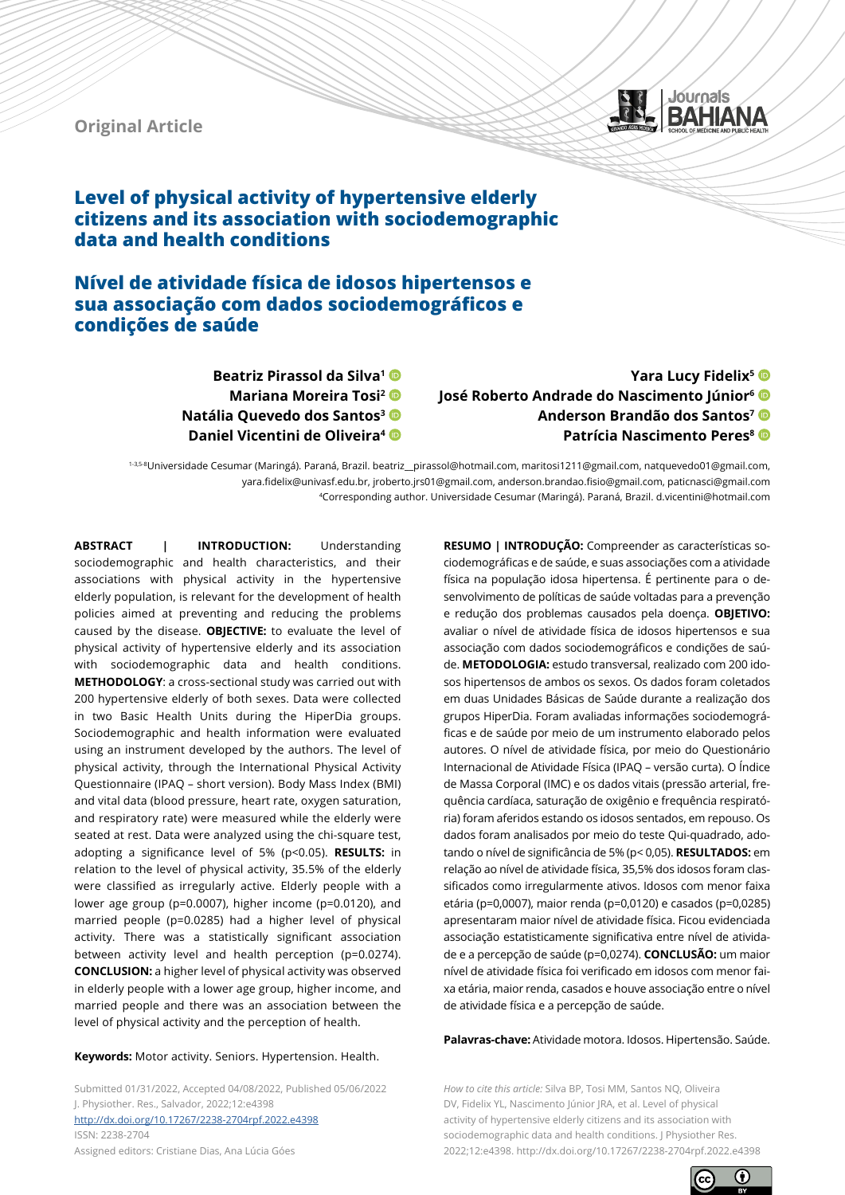**Original Article**



# **Level of physical activity of hypertensive elderly citizens and its association with sociodemographic data and health conditions**

## **Nível de atividade física de idosos hipertensos e sua associação com dados sociodemográficos e condições de saúde**

**Beatriz Pirassol da Silva1 Mariana Moreira Tosi2 Natália Quevedo dos Santos3 Daniel Vicentini de Oliveira4**

**Yara Lucy Fidelix5 José Roberto Andrade do Nascimento Júnior6 Anderson Brandão dos Santos7 Patrícia Nascimento Peres<sup>8</sup>** 

1-3,5-8Universidade Cesumar (Maringá). Paraná, Brazil. beatriz\_\_pirassol@hotmail.com, maritosi1211@gmail.com, natquevedo01@gmail.com, yara.fidelix@univasf.edu.br, jroberto.jrs01@gmail.com, anderson.brandao.fisio@gmail.com, paticnasci@gmail.com 4Corresponding author. Universidade Cesumar (Maringá). Paraná, Brazil. d.vicentini@hotmail.com

**ABSTRACT | INTRODUCTION:** Understanding sociodemographic and health characteristics, and their associations with physical activity in the hypertensive elderly population, is relevant for the development of health policies aimed at preventing and reducing the problems caused by the disease. **OBJECTIVE:** to evaluate the level of physical activity of hypertensive elderly and its association with sociodemographic data and health conditions. **METHODOLOGY**: a cross-sectional study was carried out with 200 hypertensive elderly of both sexes. Data were collected in two Basic Health Units during the HiperDia groups. Sociodemographic and health information were evaluated using an instrument developed by the authors. The level of physical activity, through the International Physical Activity Questionnaire (IPAQ – short version). Body Mass Index (BMI) and vital data (blood pressure, heart rate, oxygen saturation, and respiratory rate) were measured while the elderly were seated at rest. Data were analyzed using the chi-square test, adopting a significance level of 5% (p<0.05). **RESULTS:** in relation to the level of physical activity, 35.5% of the elderly were classified as irregularly active. Elderly people with a lower age group (p=0.0007), higher income (p=0.0120), and married people (p=0.0285) had a higher level of physical activity. There was a statistically significant association between activity level and health perception (p=0.0274). **CONCLUSION:** a higher level of physical activity was observed in elderly people with a lower age group, higher income, and married people and there was an association between the level of physical activity and the perception of health.

#### **Keywords:** Motor activity. Seniors. Hypertension. Health.

Submitted 01/31/2022, Accepted 04/08/2022, Published 05/06/2022 J. Physiother. Res., Salvador, 2022;12:e4398 [http://dx.doi.org/](http://dx.doi.org/10.17267/2238-2704rpf.2022.e3474)10.17267/2238-2704rpf.2022.e4398 ISSN: 2238-2704 Assigned editors: Cristiane Dias, Ana Lúcia Góes

**RESUMO | INTRODUÇÃO:** Compreender as características sociodemográficas e de saúde, e suas associações com a atividade física na população idosa hipertensa. É pertinente para o desenvolvimento de políticas de saúde voltadas para a prevenção e redução dos problemas causados pela doença. **OBJETIVO:**  avaliar o nível de atividade física de idosos hipertensos e sua associação com dados sociodemográficos e condições de saúde. **METODOLOGIA:** estudo transversal, realizado com 200 idosos hipertensos de ambos os sexos. Os dados foram coletados em duas Unidades Básicas de Saúde durante a realização dos grupos HiperDia. Foram avaliadas informações sociodemográficas e de saúde por meio de um instrumento elaborado pelos autores. O nível de atividade física, por meio do Questionário Internacional de Atividade Física (IPAQ – versão curta). O Índice de Massa Corporal (IMC) e os dados vitais (pressão arterial, frequência cardíaca, saturação de oxigênio e frequência respiratória) foram aferidos estando os idosos sentados, em repouso. Os dados foram analisados por meio do teste Qui-quadrado, adotando o nível de significância de 5% (p< 0,05). **RESULTADOS:** em relação ao nível de atividade física, 35,5% dos idosos foram classificados como irregularmente ativos. Idosos com menor faixa etária (p=0,0007), maior renda (p=0,0120) e casados (p=0,0285) apresentaram maior nível de atividade física. Ficou evidenciada associação estatisticamente significativa entre nível de atividade e a percepção de saúde (p=0,0274). **CONCLUSÃO:** um maior nível de atividade física foi verificado em idosos com menor faixa etária, maior renda, casados e houve associação entre o nível de atividade física e a percepção de saúde.

**Palavras-chave:** Atividade motora. Idosos. Hipertensão. Saúde.

*How to cite this article:* Silva BP, Tosi MM, Santos NQ, Oliveira DV, Fidelix YL, Nascimento Júnior JRA, et al. Level of physical activity of hypertensive elderly citizens and its association with sociodemographic data and health conditions. J Physiother Res. 2022;12:e4398. http://dx.doi.org/10.17267/2238-2704rpf.2022.e4398

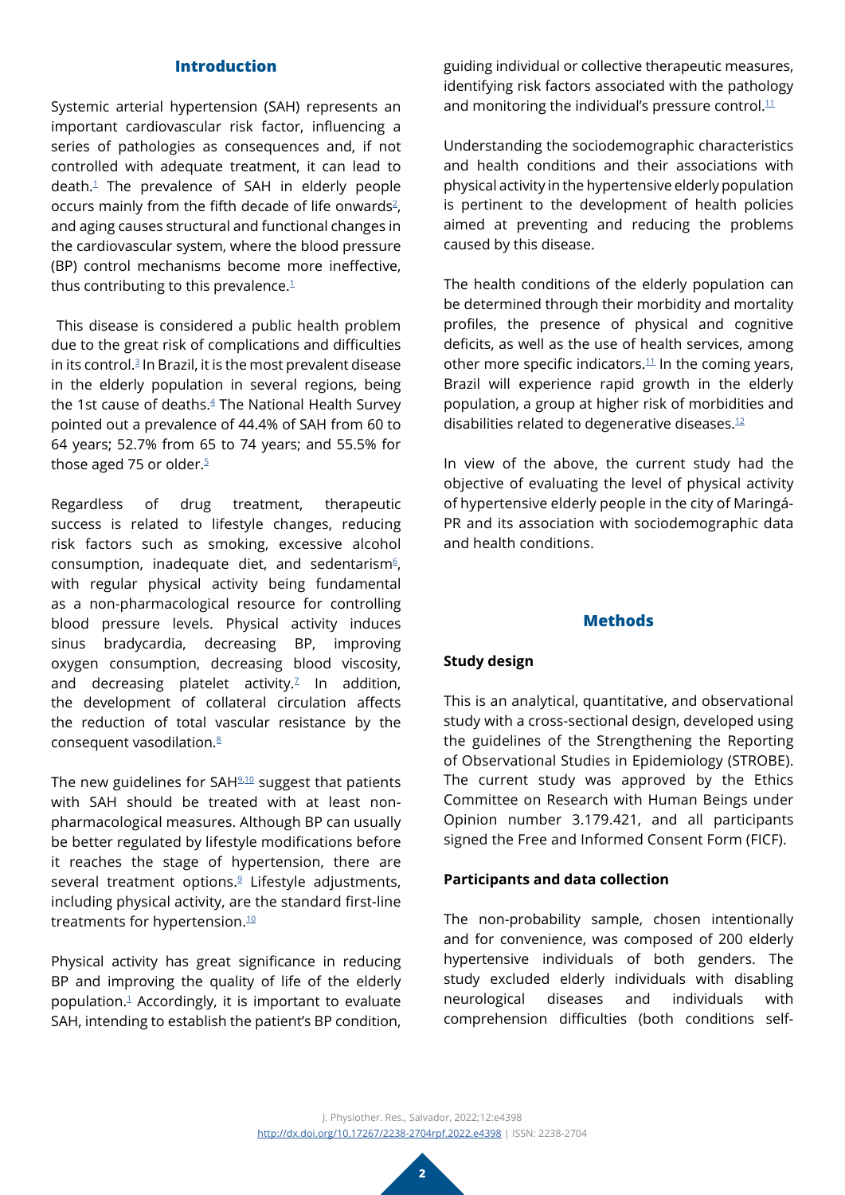#### **Introduction**

Systemic arterial hypertension (SAH) represents an important cardiovascular risk factor, influencing a series of pathologies as consequences and, if not controlled with adequate treatment, it can lead to  $death<sup>1</sup>$  The prevalence of SAH in elderly people occurs mainly from the fifth decade of life onwards $2$ , and aging causes structural and functional changes in the cardiovascular system, where the blood pressure (BP) control mechanisms become more ineffective, thus contributing to this prevalence. $1$ 

 This disease is considered a public health problem due to the great risk of complications and difficulties in its control.<sup>3</sup> In Brazil, it is the most prevalent disease in the elderly population in several regions, being the 1st cause of deaths.<sup>4</sup> The National Health Survey pointed out a prevalence of 44.4% of SAH from 60 to 64 years; 52.7% from 65 to 74 years; and 55.5% for those aged 7[5](#page-8-4) or older.<sup>5</sup>

Regardless of drug treatment, therapeutic success is related to lifestyle changes, reducing risk factors such as smoking, excessive alcohol consumption, inadequate diet, and sedentarism<sup>[6](#page-8-5)</sup>, with regular physical activity being fundamental as a non-pharmacological resource for controlling blood pressure levels. Physical activity induces sinus bradycardia, decreasing BP, improving oxygen consumption, decreasing blood viscosity, and decreasing platelet activity. $2$  In addition, the development of collateral circulation affects the reduction of total vascular resistance by the consequent vasodilation[.8](#page-8-7)

The new guidelines for SAH<sup>[9](#page-8-8)[,10](#page-8-9)</sup> suggest that patients with SAH should be treated with at least nonpharmacological measures. Although BP can usually be better regulated by lifestyle modifications before it reaches the stage of hypertension, there are several treatment options.<sup>9</sup> Lifestyle adjustments, including physical activity, are the standard first-line treatments for hypertension.<sup>[10](#page-8-9)</sup>

Physical activity has great significance in reducing BP and improving the quality of life of the elderly population[.1](#page-8-0) Accordingly, it is important to evaluate SAH, intending to establish the patient's BP condition,

guiding individual or collective therapeutic measures, identifying risk factors associated with the pathology and monitoring the individual's pressure control. $11$ 

Understanding the sociodemographic characteristics and health conditions and their associations with physical activity in the hypertensive elderly population is pertinent to the development of health policies aimed at preventing and reducing the problems caused by this disease.

The health conditions of the elderly population can be determined through their morbidity and mortality profiles, the presence of physical and cognitive deficits, as well as the use of health services, among other more specific indicators. $11$  In the coming years, Brazil will experience rapid growth in the elderly population, a group at higher risk of morbidities and disabilities related to degenerative diseases[.12](#page-9-1)

In view of the above, the current study had the objective of evaluating the level of physical activity of hypertensive elderly people in the city of Maringá-PR and its association with sociodemographic data and health conditions.

## **Methods**

## **Study design**

This is an analytical, quantitative, and observational study with a cross-sectional design, developed using the guidelines of the Strengthening the Reporting of Observational Studies in Epidemiology (STROBE). The current study was approved by the Ethics Committee on Research with Human Beings under Opinion number 3.179.421, and all participants signed the Free and Informed Consent Form (FICF).

## **Participants and data collection**

The non-probability sample, chosen intentionally and for convenience, was composed of 200 elderly hypertensive individuals of both genders. The study excluded elderly individuals with disabling neurological diseases and individuals with comprehension difficulties (both conditions self-

J. Physiother. Res., Salvador, 2022;12:e4398 [http://dx.doi.org/](http://dx.doi.org/10.17267/2238-2704rpf.2022.e3474)10.17267/2238-2704rpf.2022.e4398 | ISSN: 2238-2704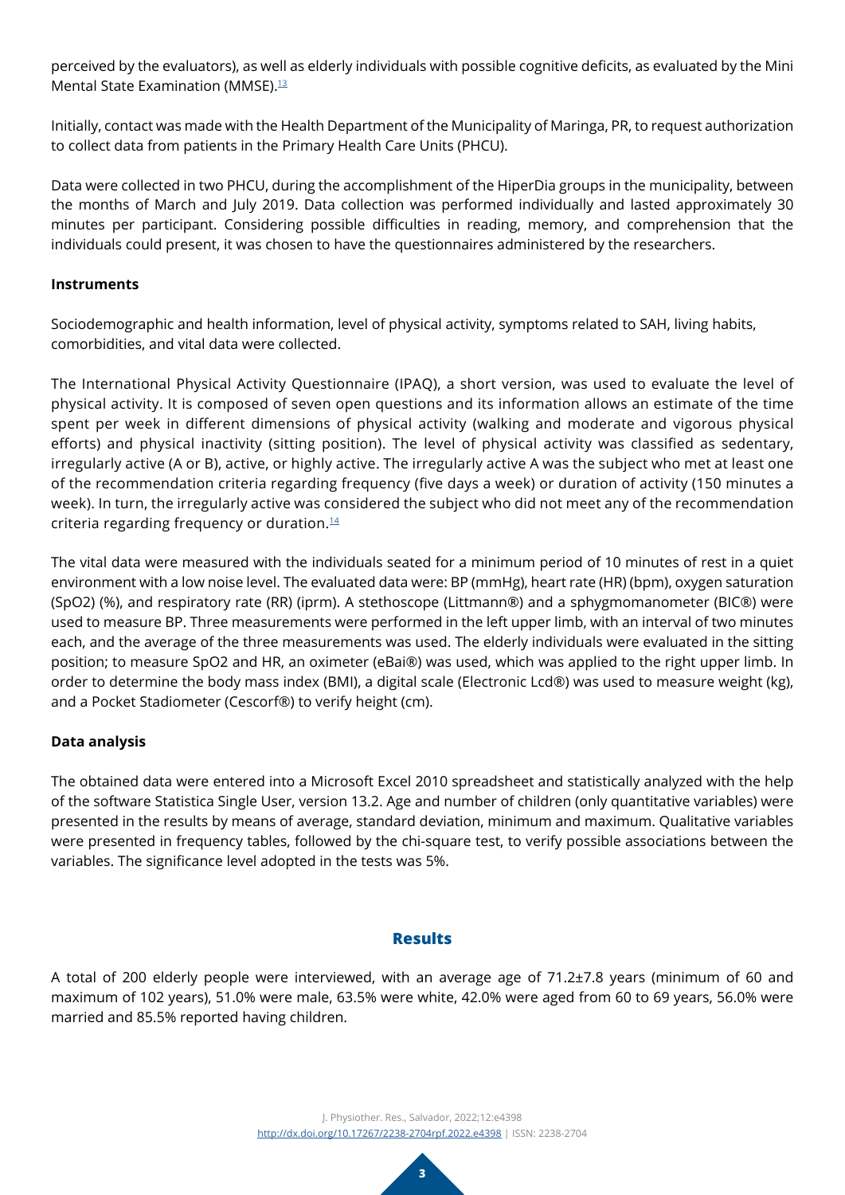perceived by the evaluators), as well as elderly individuals with possible cognitive deficits, as evaluated by the Mini Mental State Examination (MMSE).<sup>[13](#page-9-2)</sup>

Initially, contact was made with the Health Department of the Municipality of Maringa, PR, to request authorization to collect data from patients in the Primary Health Care Units (PHCU).

Data were collected in two PHCU, during the accomplishment of the HiperDia groups in the municipality, between the months of March and July 2019. Data collection was performed individually and lasted approximately 30 minutes per participant. Considering possible difficulties in reading, memory, and comprehension that the individuals could present, it was chosen to have the questionnaires administered by the researchers.

#### **Instruments**

Sociodemographic and health information, level of physical activity, symptoms related to SAH, living habits, comorbidities, and vital data were collected.

The International Physical Activity Questionnaire (IPAQ), a short version, was used to evaluate the level of physical activity. It is composed of seven open questions and its information allows an estimate of the time spent per week in different dimensions of physical activity (walking and moderate and vigorous physical efforts) and physical inactivity (sitting position). The level of physical activity was classified as sedentary, irregularly active (A or B), active, or highly active. The irregularly active A was the subject who met at least one of the recommendation criteria regarding frequency (five days a week) or duration of activity (150 minutes a week). In turn, the irregularly active was considered the subject who did not meet any of the recommendation criteria regarding frequency or duration. $14$ 

The vital data were measured with the individuals seated for a minimum period of 10 minutes of rest in a quiet environment with a low noise level. The evaluated data were: BP (mmHg), heart rate (HR) (bpm), oxygen saturation (SpO2) (%), and respiratory rate (RR) (iprm). A stethoscope (Littmann®) and a sphygmomanometer (BIC®) were used to measure BP. Three measurements were performed in the left upper limb, with an interval of two minutes each, and the average of the three measurements was used. The elderly individuals were evaluated in the sitting position; to measure SpO2 and HR, an oximeter (eBai®) was used, which was applied to the right upper limb. In order to determine the body mass index (BMI), a digital scale (Electronic Lcd®) was used to measure weight (kg), and a Pocket Stadiometer (Cescorf®) to verify height (cm).

## **Data analysis**

The obtained data were entered into a Microsoft Excel 2010 spreadsheet and statistically analyzed with the help of the software Statistica Single User, version 13.2. Age and number of children (only quantitative variables) were presented in the results by means of average, standard deviation, minimum and maximum. Qualitative variables were presented in frequency tables, followed by the chi-square test, to verify possible associations between the variables. The significance level adopted in the tests was 5%.

#### **Results**

A total of 200 elderly people were interviewed, with an average age of 71.2±7.8 years (minimum of 60 and maximum of 102 years), 51.0% were male, 63.5% were white, 42.0% were aged from 60 to 69 years, 56.0% were married and 85.5% reported having children.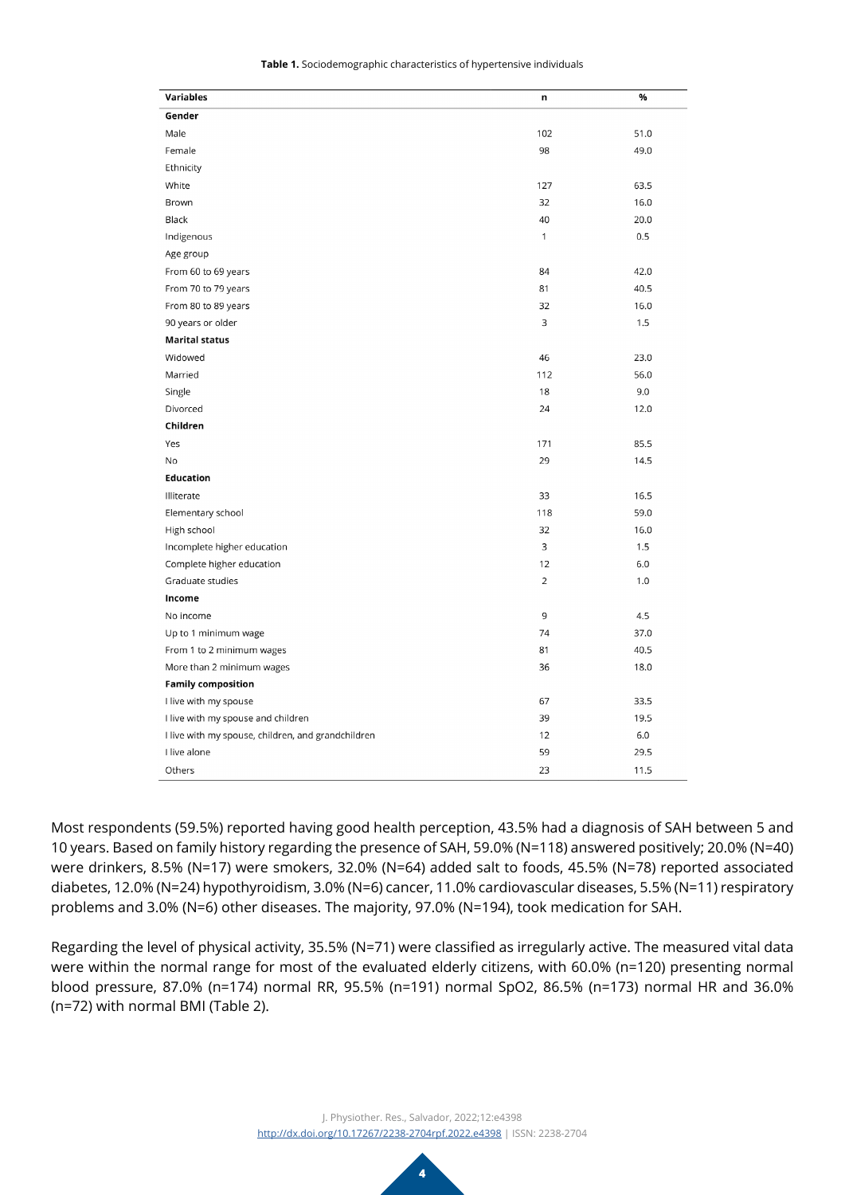| Variables                                          | n              | %    |
|----------------------------------------------------|----------------|------|
| Gender                                             |                |      |
| Male                                               | 102            | 51.0 |
| Female                                             | 98             | 49.0 |
| Ethnicity                                          |                |      |
| White                                              | 127            | 63.5 |
| Brown                                              | 32             | 16.0 |
| Black                                              | 40             | 20.0 |
| Indigenous                                         | 1              | 0.5  |
| Age group                                          |                |      |
| From 60 to 69 years                                | 84             | 42.0 |
| From 70 to 79 years                                | 81             | 40.5 |
| From 80 to 89 years                                | 32             | 16.0 |
| 90 years or older                                  | 3              | 1.5  |
| <b>Marital status</b>                              |                |      |
| Widowed                                            | 46             | 23.0 |
| Married                                            | 112            | 56.0 |
| Single                                             | 18             | 9.0  |
| Divorced                                           | 24             | 12.0 |
| Children                                           |                |      |
| Yes                                                | 171            | 85.5 |
| <b>No</b>                                          | 29             | 14.5 |
| <b>Education</b>                                   |                |      |
| Illiterate                                         | 33             | 16.5 |
| Elementary school                                  | 118            | 59.0 |
| High school                                        | 32             | 16.0 |
| Incomplete higher education                        | 3              | 1.5  |
| Complete higher education                          | 12             | 6.0  |
| Graduate studies                                   | $\overline{2}$ | 1.0  |
| Income                                             |                |      |
| No income                                          | 9              | 4.5  |
| Up to 1 minimum wage                               | 74             | 37.0 |
| From 1 to 2 minimum wages                          | 81             | 40.5 |
| More than 2 minimum wages                          | 36             | 18.0 |
| <b>Family composition</b>                          |                |      |
| I live with my spouse                              | 67             | 33.5 |
| I live with my spouse and children                 | 39             | 19.5 |
| I live with my spouse, children, and grandchildren | 12             | 6.0  |
| I live alone                                       | 59             | 29.5 |
| Others                                             | 23             | 11.5 |

**Table 1.** Sociodemographic characteristics of hypertensive individuals

Most respondents (59.5%) reported having good health perception, 43.5% had a diagnosis of SAH between 5 and 10 years. Based on family history regarding the presence of SAH, 59.0% (N=118) answered positively; 20.0% (N=40) were drinkers, 8.5% (N=17) were smokers, 32.0% (N=64) added salt to foods, 45.5% (N=78) reported associated diabetes, 12.0% (N=24) hypothyroidism, 3.0% (N=6) cancer, 11.0% cardiovascular diseases, 5.5% (N=11) respiratory problems and 3.0% (N=6) other diseases. The majority, 97.0% (N=194), took medication for SAH.

Regarding the level of physical activity, 35.5% (N=71) were classified as irregularly active. The measured vital data were within the normal range for most of the evaluated elderly citizens, with 60.0% (n=120) presenting normal blood pressure, 87.0% (n=174) normal RR, 95.5% (n=191) normal SpO2, 86.5% (n=173) normal HR and 36.0% (n=72) with normal BMI (Table 2).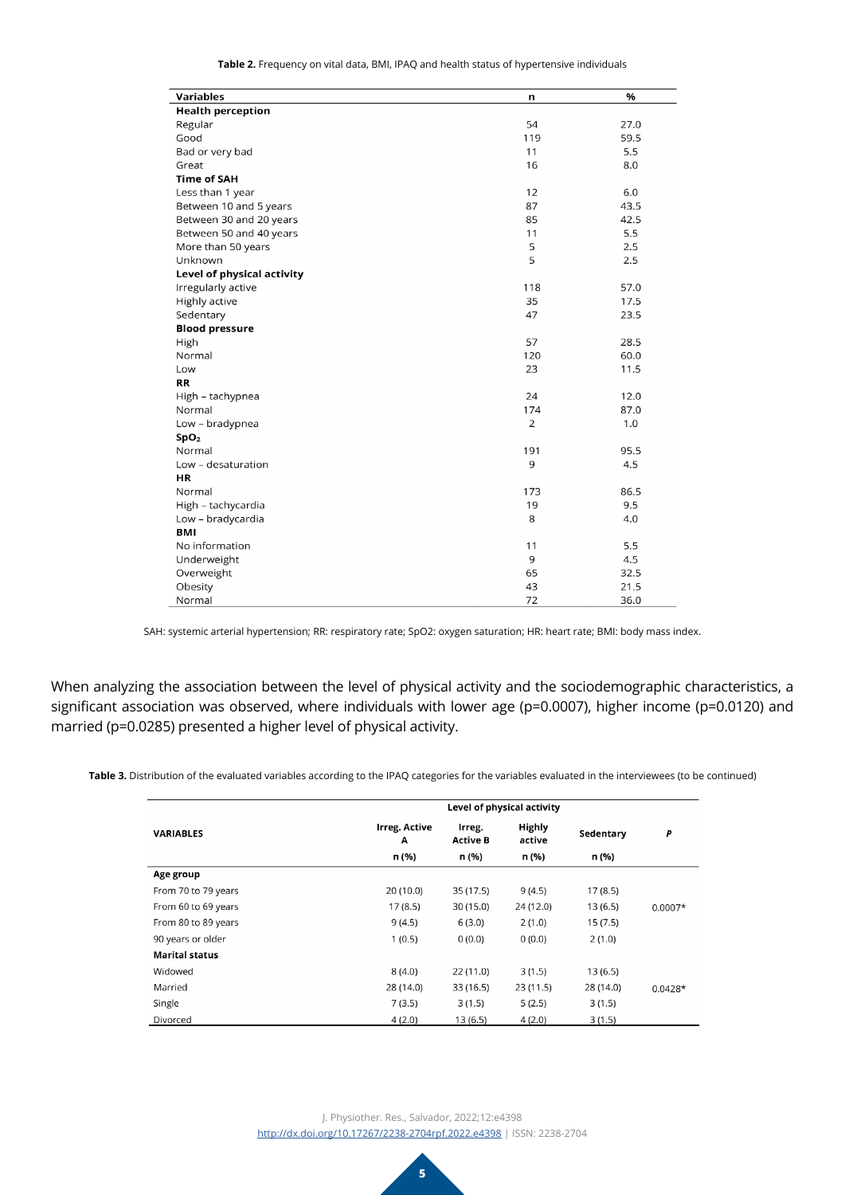**Table 2.** Frequency on vital data, BMI, IPAQ and health status of hypertensive individuals

| <b>Variables</b>           | n   | %    |
|----------------------------|-----|------|
| <b>Health perception</b>   |     |      |
| Regular                    | 54  | 27.0 |
| Good                       | 119 | 59.5 |
| Bad or very bad            | 11  | 5.5  |
| Great                      | 16  | 8.0  |
| <b>Time of SAH</b>         |     |      |
| Less than 1 year           | 12  | 6.0  |
| Between 10 and 5 years     | 87  | 43.5 |
| Between 30 and 20 years    | 85  | 42.5 |
| Between 50 and 40 years    | 11  | 5.5  |
| More than 50 years         | 5   | 2.5  |
| Unknown                    | 5   | 2.5  |
| Level of physical activity |     |      |
| Irregularly active         | 118 | 57.0 |
| Highly active              | 35  | 17.5 |
| Sedentary                  | 47  | 23.5 |
| <b>Blood pressure</b>      |     |      |
| High                       | 57  | 28.5 |
| Normal                     | 120 | 60.0 |
| Low                        | 23  | 11.5 |
| <b>RR</b>                  |     |      |
| High - tachypnea           | 24  | 12.0 |
| Normal                     | 174 | 87.0 |
| Low - bradypnea            | 2   | 1.0  |
| SpO <sub>2</sub>           |     |      |
| Normal                     | 191 | 95.5 |
| Low - desaturation         | 9   | 4.5  |
| HR                         |     |      |
| Normal                     | 173 | 86.5 |
| High - tachycardia         | 19  | 9.5  |
| Low - bradycardia          | 8   | 4.0  |
| <b>BMI</b>                 |     |      |
| No information             | 11  | 5.5  |
| Underweight                | 9   | 4.5  |
| Overweight                 | 65  | 32.5 |
| Obesity                    | 43  | 21.5 |
| Normal                     | 72  | 36.0 |

SAH: systemic arterial hypertension; RR: respiratory rate; SpO2: oxygen saturation; HR: heart rate; BMI: body mass index.

When analyzing the association between the level of physical activity and the sociodemographic characteristics, a significant association was observed, where individuals with lower age (p=0.0007), higher income (p=0.0120) and married (p=0.0285) presented a higher level of physical activity.

**Table 3.** Distribution of the evaluated variables according to the IPAQ categories for the variables evaluated in the interviewees (to be continued)

|                       | Level of physical activity |                           |                         |           |           |
|-----------------------|----------------------------|---------------------------|-------------------------|-----------|-----------|
| <b>VARIABLES</b>      | <b>Irreg. Active</b><br>А  | Irreg.<br><b>Active B</b> | <b>Highly</b><br>active | Sedentary | P         |
|                       | n (%)                      | n (%)                     | n (%)                   | n (%)     |           |
| Age group             |                            |                           |                         |           |           |
| From 70 to 79 years   | 20(10.0)                   | 35 (17.5)                 | 9(4.5)                  | 17(8.5)   |           |
| From 60 to 69 years   | 17(8.5)                    | 30 (15.0)                 | 24 (12.0)               | 13(6.5)   | $0.0007*$ |
| From 80 to 89 years   | 9(4.5)                     | 6(3.0)                    | 2(1.0)                  | 15(7.5)   |           |
| 90 years or older     | 1(0.5)                     | 0(0.0)                    | 0(0.0)                  | 2(1.0)    |           |
| <b>Marital status</b> |                            |                           |                         |           |           |
| Widowed               | 8(4.0)                     | 22(11.0)                  | 3(1.5)                  | 13(6.5)   |           |
| Married               | 28 (14.0)                  | 33 (16.5)                 | 23(11.5)                | 28 (14.0) | $0.0428*$ |
| Single                | 7(3.5)                     | 3(1.5)                    | 5(2.5)                  | 3(1.5)    |           |
| Divorced              | 4(2.0)                     | 13(6.5)                   | 4(2.0)                  | 3(1.5)    |           |

J. Physiother. Res., Salvador, 2022;12:e4398 [http://dx.doi.org/](http://dx.doi.org/10.17267/2238-2704rpf.2022.e3474)10.17267/2238-2704rpf.2022.e4398 | ISSN: 2238-2704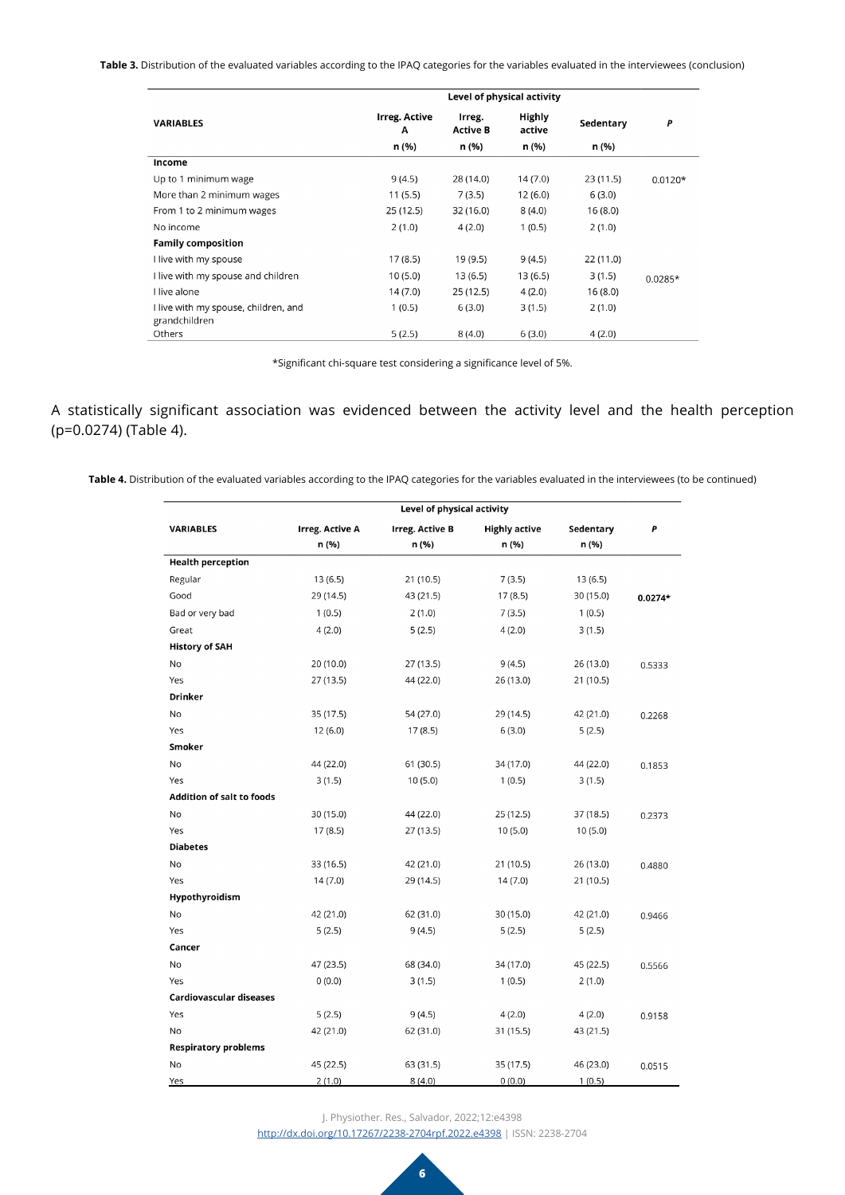**Table 3.** Distribution of the evaluated variables according to the IPAQ categories for the variables evaluated in the interviewees (conclusion)

|                                                       | Level of physical activity |                           |                  |           |           |
|-------------------------------------------------------|----------------------------|---------------------------|------------------|-----------|-----------|
| <b>VARIABLES</b>                                      | <b>Irreg. Active</b><br>A  | Irreg.<br><b>Active B</b> | Highly<br>active | Sedentary | P         |
|                                                       | n (%)                      | n (%)                     | n (%)            | n (%)     |           |
| Income                                                |                            |                           |                  |           |           |
| Up to 1 minimum wage                                  | 9(4.5)                     | 28 (14.0)                 | 14(7.0)          | 23(11.5)  | $0.0120*$ |
| More than 2 minimum wages                             | 11(5.5)                    | 7(3.5)                    | 12(6.0)          | 6(3.0)    |           |
| From 1 to 2 minimum wages                             | 25 (12.5)                  | 32(16.0)                  | 8(4.0)           | 16(8.0)   |           |
| No income                                             | 2(1.0)                     | 4(2.0)                    | 1(0.5)           | 2(1.0)    |           |
| <b>Family composition</b>                             |                            |                           |                  |           |           |
| I live with my spouse                                 | 17(8.5)                    | 19 (9.5)                  | 9(4.5)           | 22 (11.0) |           |
| I live with my spouse and children                    | 10(5.0)                    | 13(6.5)                   | 13 (6.5)         | 3(1.5)    | $0.0285*$ |
| I live alone                                          | 14 (7.0)                   | 25 (12.5)                 | 4(2.0)           | 16(8.0)   |           |
| I live with my spouse, children, and<br>grandchildren | 1(0.5)                     | 6(3.0)                    | 3(1.5)           | 2(1.0)    |           |
| Others                                                | 5(2.5)                     | 8(4.0)                    | 6(3.0)           | 4(2.0)    |           |

\*Significant chi-square test considering a significance level of 5%.

A statistically significant association was evidenced between the activity level and the health perception (p=0.0274) (Table 4).

**Table 4.** Distribution of the evaluated variables according to the IPAQ categories for the variables evaluated in the interviewees (to be continued)

|                                  | Level of physical activity |                        |                      |           |           |
|----------------------------------|----------------------------|------------------------|----------------------|-----------|-----------|
| <b>VARIABLES</b>                 | <b>Irreg. Active A</b>     | <b>Irreg. Active B</b> | <b>Highly active</b> | Sedentary | P         |
|                                  | n (%)                      | n (%)                  | n (%)                | n (%)     |           |
| <b>Health perception</b>         |                            |                        |                      |           |           |
| Regular                          | 13(6.5)                    | 21 (10.5)              | 7(3.5)               | 13(6.5)   |           |
| Good                             | 29 (14.5)                  | 43 (21.5)              | 17(8.5)              | 30 (15.0) | $0.0274*$ |
| Bad or very bad                  | 1(0.5)                     | 2(1.0)                 | 7(3.5)               | 1(0.5)    |           |
| Great                            | 4(2.0)                     | 5(2.5)                 | 4(2.0)               | 3(1.5)    |           |
| <b>History of SAH</b>            |                            |                        |                      |           |           |
| No                               | 20 (10.0)                  | 27 (13.5)              | 9(4.5)               | 26 (13.0) | 0.5333    |
| Yes                              | 27 (13.5)                  | 44 (22.0)              | 26 (13.0)            | 21 (10.5) |           |
| <b>Drinker</b>                   |                            |                        |                      |           |           |
| No                               | 35 (17.5)                  | 54 (27.0)              | 29 (14.5)            | 42 (21.0) | 0.2268    |
| Yes                              | 12(6.0)                    | 17(8.5)                | 6(3.0)               | 5(2.5)    |           |
| Smoker                           |                            |                        |                      |           |           |
| No                               | 44 (22.0)                  | 61 (30.5)              | 34 (17.0)            | 44 (22.0) | 0.1853    |
| Yes                              | 3(1.5)                     | 10(5.0)                | 1(0.5)               | 3(1.5)    |           |
| <b>Addition of salt to foods</b> |                            |                        |                      |           |           |
| No                               | 30 (15.0)                  | 44 (22.0)              | 25 (12.5)            | 37 (18.5) | 0.2373    |
| Yes                              | 17(8.5)                    | 27 (13.5)              | 10(5.0)              | 10(5.0)   |           |
| <b>Diabetes</b>                  |                            |                        |                      |           |           |
| <b>No</b>                        | 33 (16.5)                  | 42 (21.0)              | 21 (10.5)            | 26 (13.0) | 0.4880    |
| Yes                              | 14(7.0)                    | 29 (14.5)              | 14(7.0)              | 21 (10.5) |           |
| Hypothyroidism                   |                            |                        |                      |           |           |
| No                               | 42 (21.0)                  | 62 (31.0)              | 30 (15.0)            | 42 (21.0) | 0.9466    |
| Yes                              | 5(2.5)                     | 9(4.5)                 | 5(2.5)               | 5(2.5)    |           |
| Cancer                           |                            |                        |                      |           |           |
| No                               | 47 (23.5)                  | 68 (34.0)              | 34 (17.0)            | 45 (22.5) | 0.5566    |
| Yes                              | 0(0.0)                     | 3(1.5)                 | 1(0.5)               | 2(1.0)    |           |
| <b>Cardiovascular diseases</b>   |                            |                        |                      |           |           |
| Yes                              | 5(2.5)                     | 9(4.5)                 | 4(2.0)               | 4(2.0)    | 0.9158    |
| No                               | 42 (21.0)                  | 62 (31.0)              | 31 (15.5)            | 43 (21.5) |           |
| <b>Respiratory problems</b>      |                            |                        |                      |           |           |
| No                               | 45 (22.5)                  | 63 (31.5)              | 35 (17.5)            | 46 (23.0) | 0.0515    |
| Yes                              | 2(1.0)                     | 8(4.0)                 | 0(0.0)               | 1(0.5)    |           |

J. Physiother. Res., Salvador, 2022;12:e4398

[http://dx.doi.org/](http://dx.doi.org/10.17267/2238-2704rpf.2022.e3474)10.17267/2238-2704rpf.2022.e4398 | ISSN: 2238-2704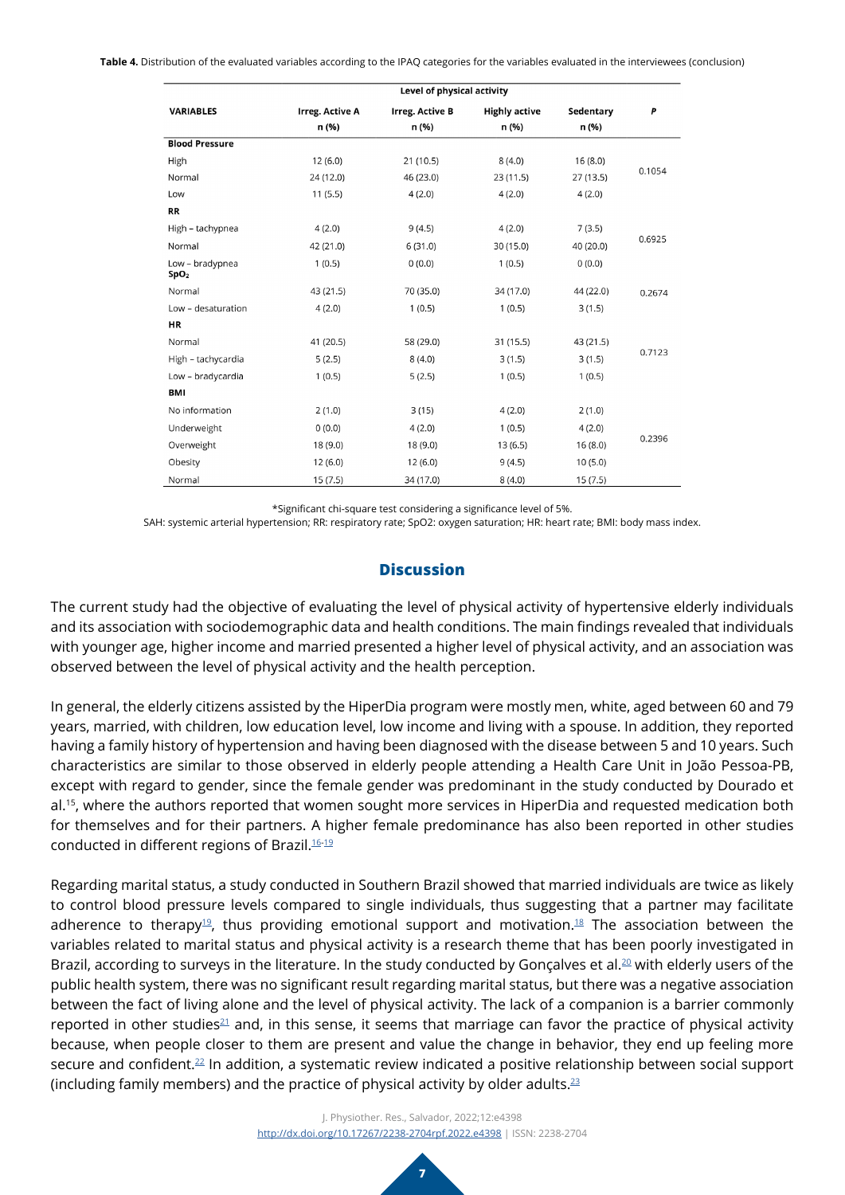**Table 4.** Distribution of the evaluated variables according to the IPAQ categories for the variables evaluated in the interviewees (conclusion)

| Level of physical activity          |                        |                        |                      |           |        |
|-------------------------------------|------------------------|------------------------|----------------------|-----------|--------|
| <b>VARIABLES</b>                    | <b>Irreg. Active A</b> | <b>Irreg. Active B</b> | <b>Highly active</b> | Sedentary | P      |
|                                     | n (%)                  | n (%)                  | n (%)                | n (%)     |        |
| <b>Blood Pressure</b>               |                        |                        |                      |           |        |
| High                                | 12(6.0)                | 21(10.5)               | 8(4.0)               | 16(8.0)   |        |
| Normal                              | 24 (12.0)              | 46 (23.0)              | 23(11.5)             | 27(13.5)  | 0.1054 |
| Low                                 | 11(5.5)                | 4(2.0)                 | 4(2.0)               | 4(2.0)    |        |
| <b>RR</b>                           |                        |                        |                      |           |        |
| High - tachypnea                    | 4(2.0)                 | 9(4.5)                 | 4(2.0)               | 7(3.5)    |        |
| Normal                              | 42 (21.0)              | 6(31.0)                | 30 (15.0)            | 40 (20.0) | 0.6925 |
| Low - bradypnea<br>SpO <sub>2</sub> | 1(0.5)                 | 0(0.0)                 | 1(0.5)               | 0(0.0)    |        |
| Normal                              | 43 (21.5)              | 70 (35.0)              | 34 (17.0)            | 44 (22.0) | 0.2674 |
| Low - desaturation                  | 4(2.0)                 | 1(0.5)                 | 1(0.5)               | 3(1.5)    |        |
| <b>HR</b>                           |                        |                        |                      |           |        |
| Normal                              | 41 (20.5)              | 58 (29.0)              | 31 (15.5)            | 43 (21.5) |        |
| High - tachycardia                  | 5(2.5)                 | 8(4.0)                 | 3(1.5)               | 3(1.5)    | 0.7123 |
| Low - bradycardia                   | 1(0.5)                 | 5(2.5)                 | 1(0.5)               | 1(0.5)    |        |
| <b>BMI</b>                          |                        |                        |                      |           |        |
| No information                      | 2(1.0)                 | 3(15)                  | 4(2.0)               | 2(1.0)    |        |
| Underweight                         | 0(0.0)                 | 4(2.0)                 | 1(0.5)               | 4(2.0)    | 0.2396 |
| Overweight                          | 18 (9.0)               | 18 (9.0)               | 13(6.5)              | 16(8.0)   |        |
| Obesity                             | 12(6.0)                | 12(6.0)                | 9(4.5)               | 10(5.0)   |        |
| Normal                              | 15(7.5)                | 34 (17.0)              | 8(4.0)               | 15 (7.5)  |        |

\*Significant chi-square test considering a significance level of 5%.

SAH: systemic arterial hypertension; RR: respiratory rate; SpO2: oxygen saturation; HR: heart rate; BMI: body mass index.

#### **Discussion**

The current study had the objective of evaluating the level of physical activity of hypertensive elderly individuals and its association with sociodemographic data and health conditions. The main findings revealed that individuals with younger age, higher income and married presented a higher level of physical activity, and an association was observed between the level of physical activity and the health perception.

In general, the elderly citizens assisted by the HiperDia program were mostly men, white, aged between 60 and 79 years, married, with children, low education level, low income and living with a spouse. In addition, they reported having a family history of hypertension and having been diagnosed with the disease between 5 and 10 years. Such characteristics are similar to those observed in elderly people attending a Health Care Unit in João Pessoa-PB, except with regard to gender, since the female gender was predominant in the study conducted by Dourado et al.<sup>15</sup>, where the authors reported that women sought more services in HiperDia and requested medication both for themselves and for their partners. A higher female predominance has also been reported in other studies conducted in different regions of Brazil.[16](#page-9-4)[-19](#page-9-5)

Regarding marital status, a study conducted in Southern Brazil showed that married individuals are twice as likely to control blood pressure levels compared to single individuals, thus suggesting that a partner may facilitate adherence to therapy<sup>19</sup>, thus providing emotional support and motivation.<sup>[18](#page-9-6)</sup> The association between the variables related to marital status and physical activity is a research theme that has been poorly investigated in Brazil, according to surveys in the literature. In the study conducted by Gonçalves et al.<sup>20</sup> with elderly users of the public health system, there was no significant result regarding marital status, but there was a negative association between the fact of living alone and the level of physical activity. The lack of a companion is a barrier commonly reported in other studies<sup>21</sup> and, in this sense, it seems that marriage can favor the practice of physical activity because, when people closer to them are present and value the change in behavior, they end up feeling more secure and confident.[22](#page-9-9) In addition, a systematic review indicated a positive relationship between social support (including family members) and the practice of physical activity by older adults. $23$ 

> J. Physiother. Res., Salvador, 2022;12:e4398 [http://dx.doi.org/](http://dx.doi.org/10.17267/2238-2704rpf.2022.e3474)10.17267/2238-2704rpf.2022.e4398 | ISSN: 2238-2704

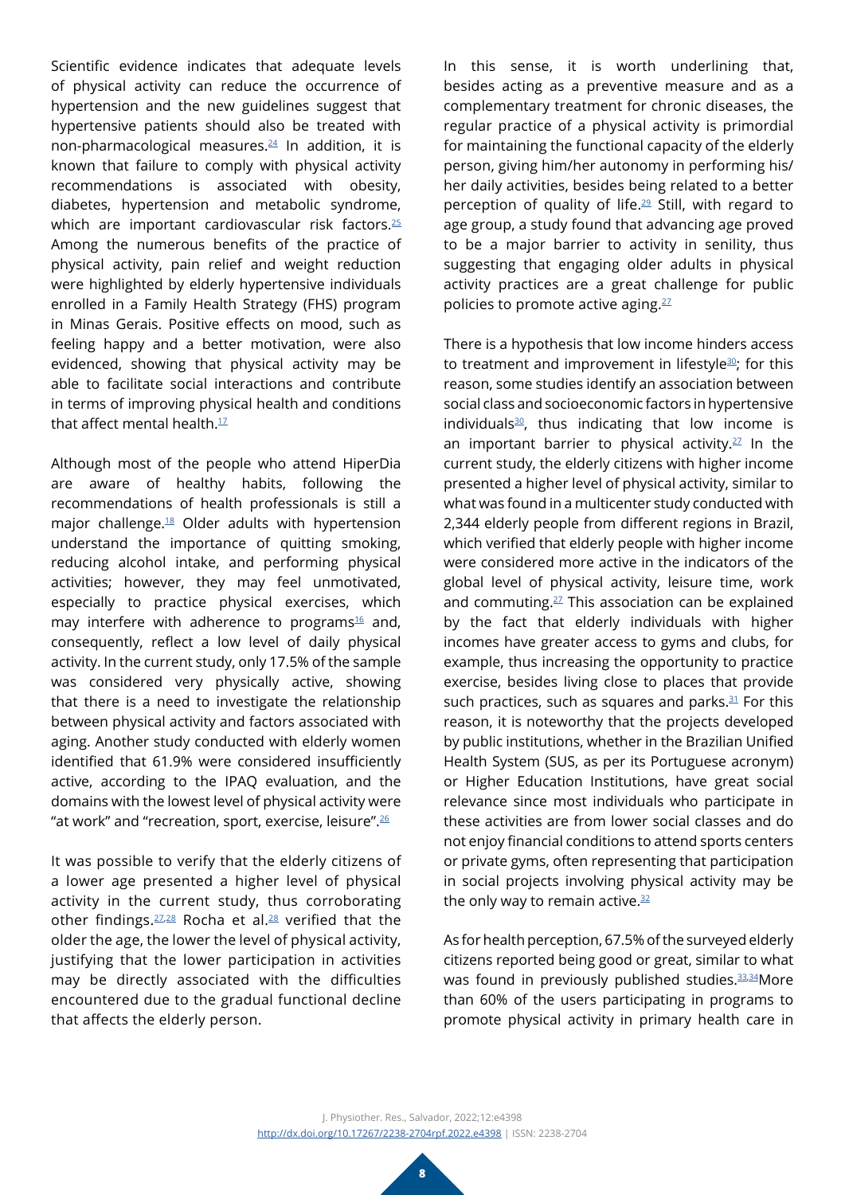Scientific evidence indicates that adequate levels of physical activity can reduce the occurrence of hypertension and the new guidelines suggest that hypertensive patients should also be treated with non-pharmacological measures.[24](#page-9-11) In addition, it is known that failure to comply with physical activity recommendations is associated with obesity, diabetes, hypertension and metabolic syndrome, which are important cardiovascular risk factors.<sup>25</sup> Among the numerous benefits of the practice of physical activity, pain relief and weight reduction were highlighted by elderly hypertensive individuals enrolled in a Family Health Strategy (FHS) program in Minas Gerais. Positive effects on mood, such as feeling happy and a better motivation, were also evidenced, showing that physical activity may be able to facilitate social interactions and contribute in terms of improving physical health and conditions that affect mental health. $17$ 

Although most of the people who attend HiperDia are aware of healthy habits, following the recommendations of health professionals is still a major challenge.[18](#page-9-6) Older adults with hypertension understand the importance of quitting smoking, reducing alcohol intake, and performing physical activities; however, they may feel unmotivated, especially to practice physical exercises, which may interfere with adherence to programs $16$  and, consequently, reflect a low level of daily physical activity. In the current study, only 17.5% of the sample was considered very physically active, showing that there is a need to investigate the relationship between physical activity and factors associated with aging. Another study conducted with elderly women identified that 61.9% were considered insufficiently active, according to the IPAQ evaluation, and the domains with the lowest level of physical activity were "at work" and "recreation, sport, exercise, leisure".[26](#page-9-14)

It was possible to verify that the elderly citizens of a lower age presented a higher level of physical activity in the current study, thus corroborating other findings. <sup>[27,](#page-10-0)[28](#page-10-1)</sup> Rocha et al.<sup>28</sup> verified that the older the age, the lower the level of physical activity, justifying that the lower participation in activities may be directly associated with the difficulties encountered due to the gradual functional decline that affects the elderly person.

In this sense, it is worth underlining that, besides acting as a preventive measure and as a complementary treatment for chronic diseases, the regular practice of a physical activity is primordial for maintaining the functional capacity of the elderly person, giving him/her autonomy in performing his/ her daily activities, besides being related to a better perception of quality of life.<sup>29</sup> Still, with regard to age group, a study found that advancing age proved to be a major barrier to activity in senility, thus suggesting that engaging older adults in physical activity practices are a great challenge for public policies to promote active aging. $27$ 

There is a hypothesis that low income hinders access to treatment and improvement in lifestyle $30$ ; for this reason, some studies identify an association between social class and socioeconomic factors in hypertensive individuals $30$ , thus indicating that low income is an important barrier to physical activity. $27 \text{ In the}$ current study, the elderly citizens with higher income presented a higher level of physical activity, similar to what was found in a multicenter study conducted with 2,344 elderly people from different regions in Brazil, which verified that elderly people with higher income were considered more active in the indicators of the global level of physical activity, leisure time, work and commuting.<sup>27</sup> This association can be explained by the fact that elderly individuals with higher incomes have greater access to gyms and clubs, for example, thus increasing the opportunity to practice exercise, besides living close to places that provide such practices, such as squares and parks. $31$  For this reason, it is noteworthy that the projects developed by public institutions, whether in the Brazilian Unified Health System (SUS, as per its Portuguese acronym) or Higher Education Institutions, have great social relevance since most individuals who participate in these activities are from lower social classes and do not enjoy financial conditions to attend sports centers or private gyms, often representing that participation in social projects involving physical activity may be the only way to remain active. $32$ 

As for health perception, 67.5% of the surveyed elderly citizens reported being good or great, similar to what was found in previously published studies.<sup>[33](#page-10-6),34</sup>More than 60% of the users participating in programs to promote physical activity in primary health care in

J. Physiother. Res., Salvador, 2022;12:e4398 [http://dx.doi.org/](http://dx.doi.org/10.17267/2238-2704rpf.2022.e3474)10.17267/2238-2704rpf.2022.e4398 | ISSN: 2238-2704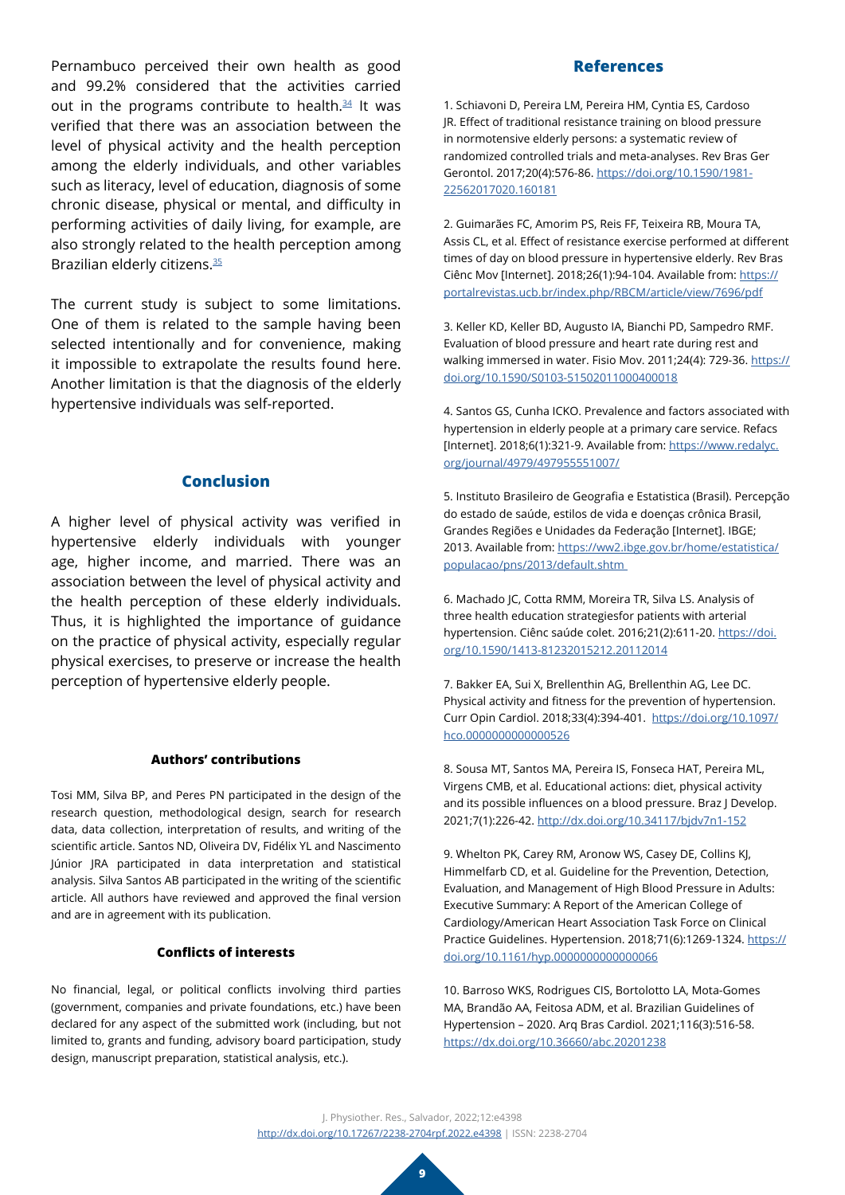Pernambuco perceived their own health as good and 99.2% considered that the activities carried out in the programs contribute to health. $34$  It was verified that there was an association between the level of physical activity and the health perception among the elderly individuals, and other variables such as literacy, level of education, diagnosis of some chronic disease, physical or mental, and difficulty in performing activities of daily living, for example, are also strongly related to the health perception among Brazilian elderly citizens.<sup>[35](#page-10-8)</sup>

The current study is subject to some limitations. One of them is related to the sample having been selected intentionally and for convenience, making it impossible to extrapolate the results found here. Another limitation is that the diagnosis of the elderly hypertensive individuals was self-reported.

#### **Conclusion**

A higher level of physical activity was verified in hypertensive elderly individuals with younger age, higher income, and married. There was an association between the level of physical activity and the health perception of these elderly individuals. Thus, it is highlighted the importance of guidance on the practice of physical activity, especially regular physical exercises, to preserve or increase the health perception of hypertensive elderly people.

#### **Authors' contributions**

Tosi MM, Silva BP, and Peres PN participated in the design of the research question, methodological design, search for research data, data collection, interpretation of results, and writing of the scientific article. Santos ND, Oliveira DV, Fidélix YL and Nascimento Júnior JRA participated in data interpretation and statistical analysis. Silva Santos AB participated in the writing of the scientific article. All authors have reviewed and approved the final version and are in agreement with its publication.

#### **Conflicts of interests**

No financial, legal, or political conflicts involving third parties (government, companies and private foundations, etc.) have been declared for any aspect of the submitted work (including, but not limited to, grants and funding, advisory board participation, study design, manuscript preparation, statistical analysis, etc.).

#### **References**

<span id="page-8-0"></span>1. Schiavoni D, Pereira LM, Pereira HM, Cyntia ES, Cardoso JR. Effect of traditional resistance training on blood pressure in normotensive elderly persons: a systematic review of randomized controlled trials and meta-analyses. Rev Bras Ger Gerontol. 2017;20(4):576-86. [https://doi.org/10.1590/1981-](https://www.scielo.br/j/rbgg/a/YRQzJdjtyBNCVwBcfckMcYb/?lang=pt) [22562017020.160181](https://www.scielo.br/j/rbgg/a/YRQzJdjtyBNCVwBcfckMcYb/?lang=pt)

<span id="page-8-1"></span>2. Guimarães FC, Amorim PS, Reis FF, Teixeira RB, Moura TA, Assis CL, et al. Effect of resistance exercise performed at different times of day on blood pressure in hypertensive elderly. Rev Bras Ciênc Mov [Internet]. 2018;26(1):94-104. Available from: [https://](https://portalrevistas.ucb.br/index.php/RBCM/article/view/7696/pdf) [portalrevistas.ucb.br/index.php/RBCM/article/view/7696/pdf](https://portalrevistas.ucb.br/index.php/RBCM/article/view/7696/pdf)

<span id="page-8-2"></span>3. Keller KD, Keller BD, Augusto IA, Bianchi PD, Sampedro RMF. Evaluation of blood pressure and heart rate during rest and walking immersed in water. Fisio Mov. 2011;24(4): 729-36. [https://](https://doi.org/10.1590/S0103-51502011000400018) [doi.org/10.1590/S0103-51502011000400018](https://doi.org/10.1590/S0103-51502011000400018)

<span id="page-8-3"></span>4. Santos GS, Cunha ICKO. Prevalence and factors associated with hypertension in elderly people at a primary care service. Refacs [Internet]. 2018;6(1):321-9. Available from: [https://www.redalyc.](https://www.redalyc.org/journal/4979/497955551007/) [org/journal/4979/497955551007/](https://www.redalyc.org/journal/4979/497955551007/)

<span id="page-8-4"></span>5. Instituto Brasileiro de Geografia e Estatistica (Brasil). Percepção do estado de saúde, estilos de vida e doenças crônica Brasil, Grandes Regiões e Unidades da Federação [Internet]. IBGE; 2013. Available from: [https://ww2.ibge.gov.br/home/estatistica/](https://biblioteca.ibge.gov.br/index.php/biblioteca-catalogo?id=291110&view=detalhes) [populacao/pns/2013/default.shtm](https://biblioteca.ibge.gov.br/index.php/biblioteca-catalogo?id=291110&view=detalhes) 

<span id="page-8-5"></span>6. Machado JC, Cotta RMM, Moreira TR, Silva LS. Analysis of three health education strategiesfor patients with arterial hypertension. Ciênc saúde colet. 2016;21(2):611-20. [https://doi.](https://www.scielo.br/j/csc/a/Fs5GgLz9F6kmYYDnfrLF5xJ/?lang=pt) [org/10.1590/1413-81232015212.20112014](https://www.scielo.br/j/csc/a/Fs5GgLz9F6kmYYDnfrLF5xJ/?lang=pt)

<span id="page-8-6"></span>7. Bakker EA, Sui X, Brellenthin AG, Brellenthin AG, Lee DC. Physical activity and fitness for the prevention of hypertension. Curr Opin Cardiol. 2018;33(4):394-401. [https://doi.org/10.1097/](https://journals.lww.com/co-cardiology/Abstract/2018/07000/Physical_activity_and_fitness_for_the_prevention.8.aspx) [hco.0000000000000526](https://journals.lww.com/co-cardiology/Abstract/2018/07000/Physical_activity_and_fitness_for_the_prevention.8.aspx)

<span id="page-8-7"></span>8. Sousa MT, Santos MA, Pereira IS, Fonseca HAT, Pereira ML, Virgens CMB, et al. Educational actions: diet, physical activity and its possible influences on a blood pressure. Braz J Develop. 2021;7(1):226-42. [http://dx.doi.org/10.34117/bjdv7n1-152](https://brazilianjournals.com/index.php/BRJD/article/view/22518)

<span id="page-8-8"></span>9. Whelton PK, Carey RM, Aronow WS, Casey DE, Collins KJ, Himmelfarb CD, et al. Guideline for the Prevention, Detection, Evaluation, and Management of High Blood Pressure in Adults: Executive Summary: A Report of the American College of Cardiology/American Heart Association Task Force on Clinical Practice Guidelines. Hypertension. 2018;71(6):1269-1324. [https://](https://www.ahajournals.org/doi/10.1161/HYP.0000000000000066) [doi.org/10.1161/hyp.0000000000000066](https://www.ahajournals.org/doi/10.1161/HYP.0000000000000066)

<span id="page-8-9"></span>10. Barroso WKS, Rodrigues CIS, Bortolotto LA, Mota-Gomes MA, Brandão AA, Feitosa ADM, et al. Brazilian Guidelines of Hypertension – 2020. Arq Bras Cardiol. 2021;116(3):516-58. [https://dx.doi.org/10.36660/abc.20201238](https://abccardiol.org/article/diretrizes-brasileiras-de-hipertensao-arterial-2020/)

J. Physiother. Res., Salvador, 2022;12:e4398 [http://dx.doi.org/](http://dx.doi.org/10.17267/2238-2704rpf.2022.e3474)10.17267/2238-2704rpf.2022.e4398 | ISSN: 2238-2704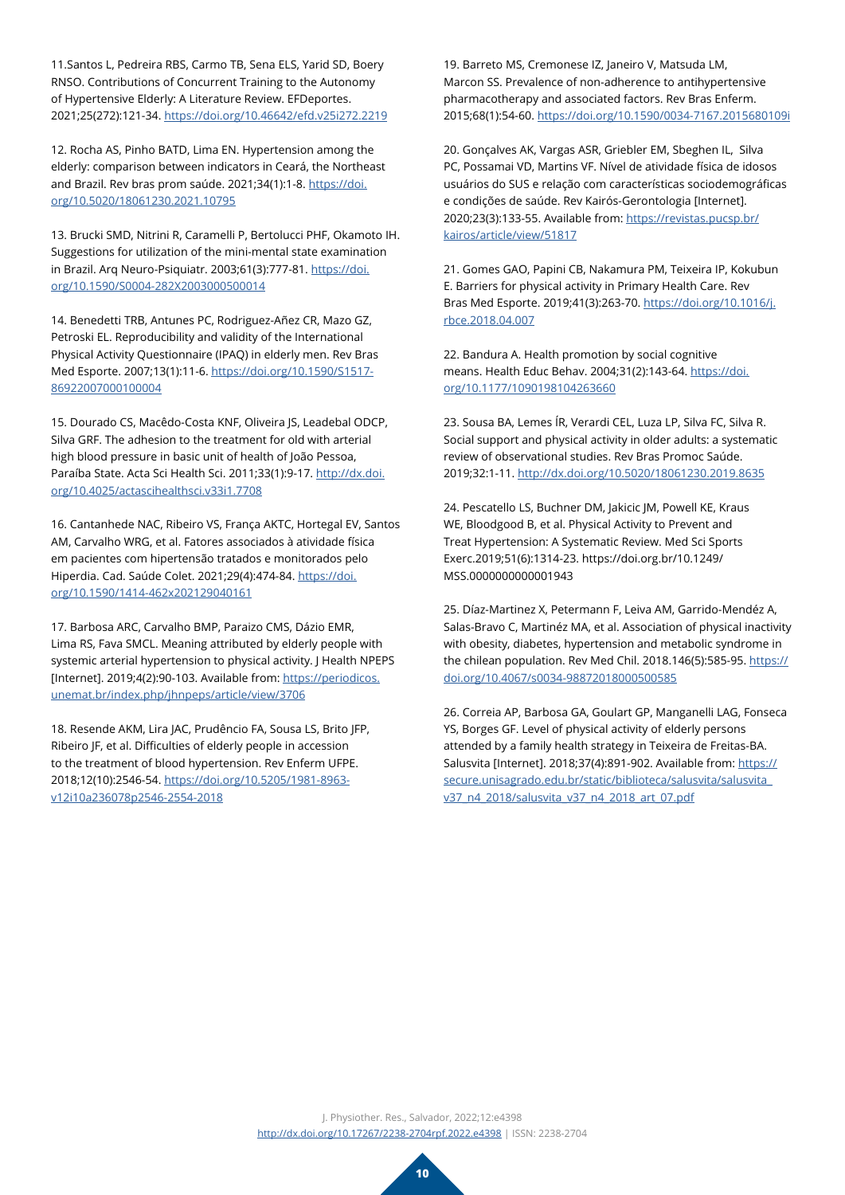<span id="page-9-0"></span>11.Santos L, Pedreira RBS, Carmo TB, Sena ELS, Yarid SD, Boery RNSO. Contributions of Concurrent Training to the Autonomy of Hypertensive Elderly: A Literature Review. EFDeportes. 2021;25(272):121-34. [https://doi.org/10.46642/efd.v25i272.2219](https://www.efdeportes.com/efdeportes/index.php/EFDeportes/article/view/2219)

<span id="page-9-1"></span>12. Rocha AS, Pinho BATD, Lima EN. Hypertension among the elderly: comparison between indicators in Ceará, the Northeast and Brazil. Rev bras prom saúde. 2021;34(1):1-8. [https://doi.](https://periodicos.unifor.br/RBPS/article/view/10795) [org/10.5020/18061230.2021.10795](https://periodicos.unifor.br/RBPS/article/view/10795)

<span id="page-9-2"></span>13. Brucki SMD, Nitrini R, Caramelli P, Bertolucci PHF, Okamoto IH. Suggestions for utilization of the mini-mental state examination in Brazil. Arq Neuro-Psiquiatr. 2003;61(3):777-81. [https://doi.](https://www.scielo.br/j/anp/a/YgRksxZVZ4b9j3gS4gw97NN/?lang=pt) [org/10.1590/S0004-282X2003000500014](https://www.scielo.br/j/anp/a/YgRksxZVZ4b9j3gS4gw97NN/?lang=pt)

<span id="page-9-3"></span>14. Benedetti TRB, Antunes PC, Rodriguez-Añez CR, Mazo GZ, Petroski EL. Reproducibility and validity of the International Physical Activity Questionnaire (IPAQ) in elderly men. Rev Bras Med Esporte. 2007;13(1):11-6. [https://doi.org/10.1590/S1517-](https://www.scielo.br/j/rbme/a/qMfYbx6NVfKKFyKZLSnBJgH/?lang=pt) [86922007000100004](https://www.scielo.br/j/rbme/a/qMfYbx6NVfKKFyKZLSnBJgH/?lang=pt)

15. Dourado CS, Macêdo-Costa KNF, Oliveira JS, Leadebal ODCP, Silva GRF. The adhesion to the treatment for old with arterial high blood pressure in basic unit of health of João Pessoa, Paraíba State. Acta Sci Health Sci. 2011;33(1):9-17. [http://dx.doi.](https://pesquisa.bvsalud.org/portal/resource/pt/lil-590354) [org/10.4025/actascihealthsci.v33i1.7708](https://pesquisa.bvsalud.org/portal/resource/pt/lil-590354)

<span id="page-9-4"></span>16. Cantanhede NAC, Ribeiro VS, França AKTC, Hortegal EV, Santos AM, Carvalho WRG, et al. Fatores associados à atividade física em pacientes com hipertensão tratados e monitorados pelo Hiperdia. Cad. Saúde Colet. 2021;29(4):474-84. [https://doi.](https://www.scielo.br/j/cadsc/a/CXFwRfX7SZNwwDyngvKdYtG/?lang=en) [org/10.1590/1414-462x202129040161](https://www.scielo.br/j/cadsc/a/CXFwRfX7SZNwwDyngvKdYtG/?lang=en)

<span id="page-9-13"></span>17. Barbosa ARC, Carvalho BMP, Paraizo CMS, Dázio EMR, Lima RS, Fava SMCL. Meaning attributed by elderly people with systemic arterial hypertension to physical activity. J Health NPEPS [Internet]. 2019;4(2):90-103. Available from: [https://periodicos.](https://periodicos.unemat.br/index.php/jhnpeps/article/view/3706) [unemat.br/index.php/jhnpeps/article/view/3706](https://periodicos.unemat.br/index.php/jhnpeps/article/view/3706)

<span id="page-9-6"></span>18. Resende AKM, Lira JAC, Prudêncio FA, Sousa LS, Brito JFP, Ribeiro JF, et al. Difficulties of elderly people in accession to the treatment of blood hypertension. Rev Enferm UFPE. 2018;12(10):2546-54. [https://doi.org/10.5205/1981-8963](https://periodicos.ufpe.br/revistas/revistaenfermagem/article/view/236078) [v12i10a236078p2546-2554-2018](https://periodicos.ufpe.br/revistas/revistaenfermagem/article/view/236078)

<span id="page-9-5"></span>19. Barreto MS, Cremonese IZ, Janeiro V, Matsuda LM, Marcon SS. Prevalence of non-adherence to antihypertensive pharmacotherapy and associated factors. Rev Bras Enferm. 2015;68(1):54-60. [https://doi.org/10.1590/0034-7167.2015680109i](https://www.semanticscholar.org/paper/Preval%C3%AAncia-de-n%C3%A3o-ades%C3%A3o-%C3%A0-farmacoterapia-e-Barreto-Cremonese/4ae676e4c31b2476452fa862ce601c52706446de)

<span id="page-9-7"></span>20. Gonçalves AK, Vargas ASR, Griebler EM, Sbeghen IL, Silva PC, Possamai VD, Martins VF. Nível de atividade física de idosos usuários do SUS e relação com características sociodemográficas e condições de saúde. Rev Kairós-Gerontologia [Internet]. 2020;23(3):133-55. Available from: [https://revistas.pucsp.br/](https://revistas.pucsp.br/kairos/article/view/51817) [kairos/article/view/51817](https://revistas.pucsp.br/kairos/article/view/51817)

<span id="page-9-8"></span>21. Gomes GAO, Papini CB, Nakamura PM, Teixeira IP, Kokubun E. Barriers for physical activity in Primary Health Care. Rev Bras Med Esporte. 2019;41(3):263-70. [https://doi.org/10.1016/j.](https://www.sciencedirect.com/science/article/pii/S0101328917300215?via%3Dihub) [rbce.2018.04.007](https://www.sciencedirect.com/science/article/pii/S0101328917300215?via%3Dihub)

<span id="page-9-9"></span>22. Bandura A. Health promotion by social cognitive means. Health Educ Behav. 2004;31(2):143-64. [https://doi.](https://journals.sagepub.com/doi/10.1177/1090198104263660) [org/10.1177/1090198104263660](https://journals.sagepub.com/doi/10.1177/1090198104263660)

<span id="page-9-10"></span>23. Sousa BA, Lemes ÍR, Verardi CEL, Luza LP, Silva FC, Silva R. Social support and physical activity in older adults: a systematic review of observational studies. Rev Bras Promoc Saúde. 2019;32:1-11. [http://dx.doi.org/10.5020/18061230.2019.8635](https://periodicos.unifor.br/RBPS/article/view/8635)

<span id="page-9-11"></span>24. Pescatello LS, Buchner DM, Jakicic JM, Powell KE, Kraus WE, Bloodgood B, et al. Physical Activity to Prevent and Treat Hypertension: A Systematic Review. Med Sci Sports Exerc.2019;51(6):1314-23. https://doi.org.br/10.1249/ MSS.0000000000001943

<span id="page-9-12"></span>25. Díaz-Martinez X, Petermann F, Leiva AM, Garrido-Mendéz A, Salas-Bravo C, Martinéz MA, et al. Association of physical inactivity with obesity, diabetes, hypertension and metabolic syndrome in the chilean population. Rev Med Chil. 2018.146(5):585-95. [https://](https://www.scielo.cl/scielo.php?script=sci_arttext&pid=S0034-98872018000500585&lng=en&nrm=iso&tlng=en) [doi.org/10.4067/s0034-98872018000500585](https://www.scielo.cl/scielo.php?script=sci_arttext&pid=S0034-98872018000500585&lng=en&nrm=iso&tlng=en)

<span id="page-9-14"></span>26. Correia AP, Barbosa GA, Goulart GP, Manganelli LAG, Fonseca YS, Borges GF. Level of physical activity of elderly persons attended by a family health strategy in Teixeira de Freitas-BA. Salusvita [Internet]. 2018;37(4):891-902. Available from: [https://](https://secure.unisagrado.edu.br/static/biblioteca/salusvita/salusvita_v37_n4_2018/salusvita_v37_n4_2018_art_07.pdf) [secure.unisagrado.edu.br/static/biblioteca/salusvita/salusvita\\_](https://secure.unisagrado.edu.br/static/biblioteca/salusvita/salusvita_v37_n4_2018/salusvita_v37_n4_2018_art_07.pdf) [v37\\_n4\\_2018/salusvita\\_v37\\_n4\\_2018\\_art\\_07.pdf](https://secure.unisagrado.edu.br/static/biblioteca/salusvita/salusvita_v37_n4_2018/salusvita_v37_n4_2018_art_07.pdf)

J. Physiother. Res., Salvador, 2022;12:e4398 [http://dx.doi.org/](http://dx.doi.org/10.17267/2238-2704rpf.2022.e3474)10.17267/2238-2704rpf.2022.e4398 | ISSN: 2238-2704